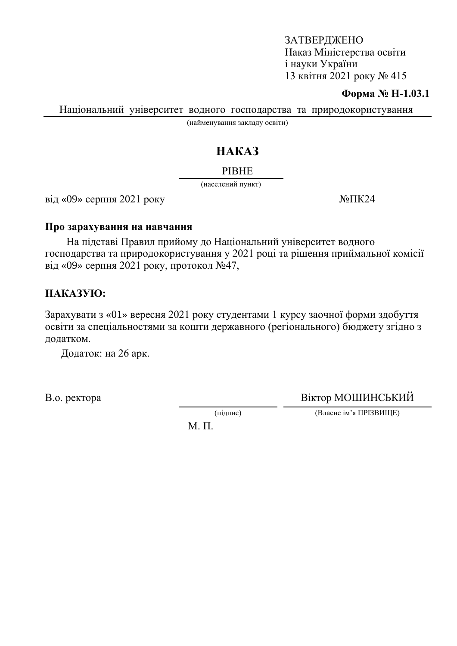#### **Форма № Н-1.03.1**

Національний університет водного господарства та природокористування

(найменування закладу освіти)

# HAKA3

#### **PIBHE**

(населений пункт)

 $\overline{Bi}$ д «09» серпня 2021 року  $N$ <sup>o</sup> $\overline{I}$ K24

#### Про зарахування на навчання

На підставі Правил прийому до Національний університет водного господарства та природокористування у 2021 році та рішення приймальної комісії від «09» серпня 2021 року, протокол  $\mathcal{N}_2$ 47,

## HAKA3YIO:

Зарахувати з «01» вересня 2021 року студентами 1 курсу заочної форми здобуття освіти за спеціальностями за кошти державного (регіонального) бюджету згідно з додатком.

Додаток: на 26 арк.

В.о. ректора Віктор МОШИНСЬКИЙ

(підпис) (Власне ім'я ПРІЗВИЩЕ)

М. П.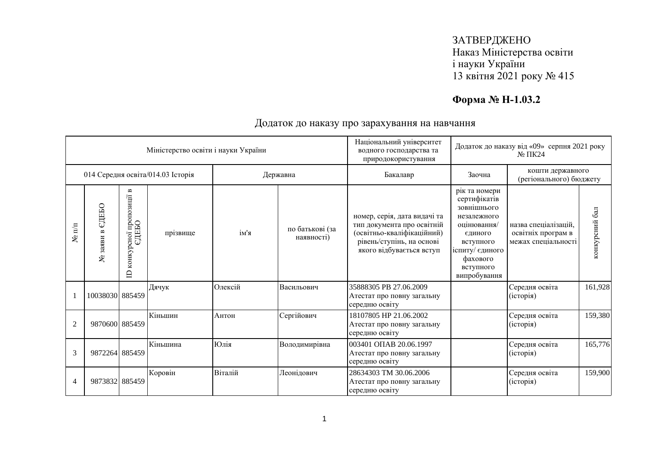# **Форма № Н-1.03.2**

|                      |                                  |                                                                       | Міністерство освіти і науки України |         |                               | Національний університет<br>водного господарства та<br>природокористування                                                                        | Додаток до наказу від «09» серпня 2021 року<br>$N0 \Pi K24$                                                                                                    |                                                                   |                |
|----------------------|----------------------------------|-----------------------------------------------------------------------|-------------------------------------|---------|-------------------------------|---------------------------------------------------------------------------------------------------------------------------------------------------|----------------------------------------------------------------------------------------------------------------------------------------------------------------|-------------------------------------------------------------------|----------------|
|                      |                                  |                                                                       | 014 Середня освіта/014.03 Історія   |         | Державна                      | Бакалавр                                                                                                                                          | Заочна                                                                                                                                                         | кошти державного<br>(регіонального) бюджету                       |                |
| $N$ <sup>o</sup> π/π | ЄДЕБО<br>$\mathbf{r}$<br>№ заяви | $\mathbf{m}$<br>пропозиції<br>едньо<br>сної<br>конкур<br>$\mathbf{D}$ | прізвище                            | ім'я    | по батькові (за<br>наявності) | номер, серія, дата видачі та<br>тип документа про освітній<br>(освітньо-кваліфікаційний)<br>рівень/ступінь, на основі<br>якого відбувається вступ | рік та номери<br>сертифікатів<br>зовнішнього<br>незалежного<br>оцінювання/<br>єдиного<br>вступного<br>іспиту/ єдиного<br>фахового<br>вступного<br>випробування | назва спеціалізацій.<br>освітніх програм в<br>межах спеціальності | конкурсний бал |
|                      | 10038030 885459                  |                                                                       | Дячук                               | Олексій | Васильович                    | 35888305 PB 27.06.2009<br>Атестат про повну загальну<br>середню освіту                                                                            |                                                                                                                                                                | Середня освіта<br>(icropi)                                        | 161,928        |
| $\overline{2}$       | 9870600 885459                   |                                                                       | Кіньшин                             | Антон   | Сергійович                    | 18107805 HP 21.06.2002<br>Атестат про повну загальну<br>середню освіту                                                                            |                                                                                                                                                                | Середня освіта<br>(історія)                                       | 159,380        |
| 3                    | 9872264 885459                   |                                                                       | Кіньшина                            | Юлія    | Володимирівна                 | 003401 OIIAB 20.06.1997<br>Атестат про повну загальну<br>середню освіту                                                                           |                                                                                                                                                                | Середня освіта<br>(історія)                                       | 165,776        |
| 4                    | 9873832 885459                   |                                                                       | Коровін                             | Віталій | Леонідович                    | 28634303 TM 30.06.2006<br>Атестат про повну загальну<br>середню освіту                                                                            |                                                                                                                                                                | Середня освіта<br>(історія)                                       | 159,900        |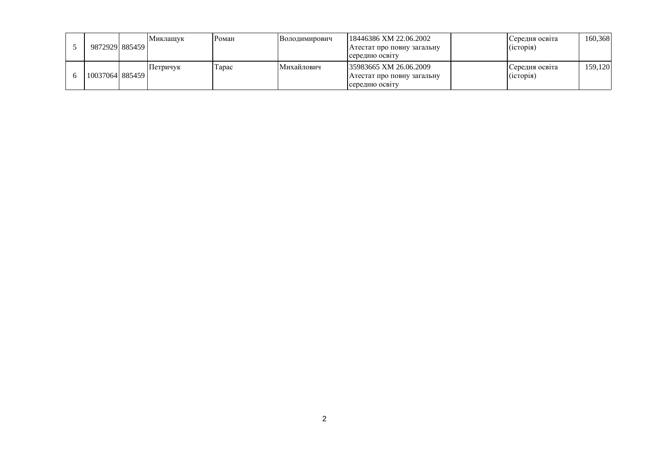|  | 987292918854591  | Миклашук | Роман  | <b>Володимирович</b> | 18446386 XM 22.06.2002<br>Атестат про повну загальну<br>середню освіту | Середня освіта<br>(icropi) | 160.368 |
|--|------------------|----------|--------|----------------------|------------------------------------------------------------------------|----------------------------|---------|
|  | 1003706418854591 | Петричук | l'apac | Михайлович           | 35983665 XM 26.06.2009<br>Атестат про повну загальну<br>середню освіту | Середня освіта<br>(1CTOD1) | 159.120 |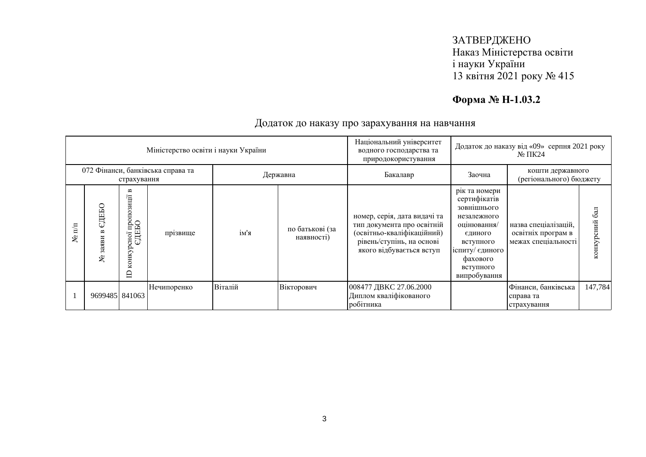# **Форма № Н-1.03.2**

|                   |                              |                                                 | Міністерство освіти і науки України |          |                               | Національний університет<br>водного господарства та<br>природокористування                                                                        | Додаток до наказу від «09» серпня 2021 року<br>$N2 \Pi K24$                                                                                                    |                                                                   |                               |
|-------------------|------------------------------|-------------------------------------------------|-------------------------------------|----------|-------------------------------|---------------------------------------------------------------------------------------------------------------------------------------------------|----------------------------------------------------------------------------------------------------------------------------------------------------------------|-------------------------------------------------------------------|-------------------------------|
|                   |                              | страхування                                     | 072 Фінанси, банківська справа та   | Державна |                               | Бакалавр                                                                                                                                          | Заочна                                                                                                                                                         | кошти державного<br>(регіонального) бюджету                       |                               |
| $\mathbf{m}$<br>۶ | едеью<br>3 <sub>2</sub><br>ৼ | ≃<br>осно1 пропозиції 1<br>ЄДЕБО<br>конкур<br>日 | прізвище                            | ім'я     | по батькові (за<br>наявності) | номер, серія, дата видачі та<br>тип документа про освітній<br>(освітньо-кваліфікаційний)<br>рівень/ступінь, на основі<br>якого відбувається вступ | рік та номери<br>сертифікатів<br>зовнишнього<br>незалежного<br>оцінювання/<br>єдиного<br>вступного<br>іспиту/ єдиного<br>фахового<br>вступного<br>випробування | назва спеціалізацій,<br>освітніх програм в<br>межах спеціальності | $\overline{6a}$<br>конкурсний |
|                   | 9699485 841063               |                                                 | Нечипоренко                         | Віталій  | Вікторович                    | 008477 ДВКС 27.06.2000<br>Диплом кваліфікованого<br>робітника                                                                                     |                                                                                                                                                                | Фінанси, банківська<br>справа та<br>страхування                   | 147,784                       |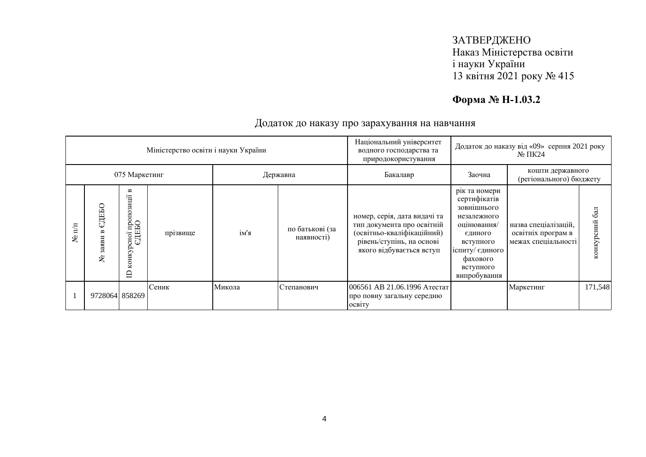# **Форма № Н-1.03.2**

|                            |                   |                                                                | Міністерство освіти і науки України |        |                               | Національний університет<br>Додаток до наказу від «09» серпня 2021 року<br>водного господарства та<br>$\mathbb{N}^{\circ}$ TIK24<br>природокористування |                                                                                                                                                                |                                                                   |                  |
|----------------------------|-------------------|----------------------------------------------------------------|-------------------------------------|--------|-------------------------------|---------------------------------------------------------------------------------------------------------------------------------------------------------|----------------------------------------------------------------------------------------------------------------------------------------------------------------|-------------------------------------------------------------------|------------------|
|                            |                   | 075 Маркетинг                                                  |                                     |        | Державна                      | Бакалавр                                                                                                                                                | Заочна                                                                                                                                                         | кошти державного<br>(регіонального) бюджету                       |                  |
| $\mathbf{n}^{\prime}$<br>۶ | едеью<br>3ax<br>ৼ | B<br>зиції<br>но1 пропо:<br>:ДЕБО<br>конкурсної<br>$\cup$<br>⊟ | прізвище                            | ім'я   | по батькові (за<br>наявності) | номер, серія, дата видачі та<br>тип документа про освітній<br>(освітньо-кваліфікаційний)<br>рівень/ступінь, на основі<br>якого відбувається вступ       | рік та номери<br>сертифікатів<br>зовнішнього<br>незалежного<br>оцінювання/<br>єдиного<br>вступного<br>іспиту/ єдиного<br>фахового<br>вступного<br>випробування | назва спеціалізацій,<br>освітніх програм в<br>межах спеціальності | 6a<br>конкурсний |
|                            | 9728064 858269    |                                                                | Сеник                               | Микола | Степанович                    | 006561 АВ 21.06.1996 Атестат<br>про повну загальну середню<br><b>OCBITY</b>                                                                             |                                                                                                                                                                | Маркетинг                                                         | 171,548          |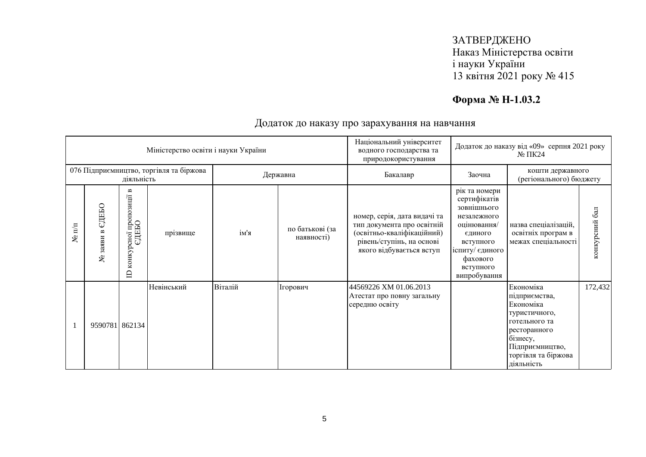# **Форма № Н-1.03.2**

|                      |                                     |                                                                          | Міністерство освіти і науки України     |         |                               | Національний університет<br>Додаток до наказу від «09» серпня 2021 року<br>водного господарства та<br>$N2 \Pi K24$<br>природокористування         |                                                                                                                                                                |                                                                                                                                                               |                |
|----------------------|-------------------------------------|--------------------------------------------------------------------------|-----------------------------------------|---------|-------------------------------|---------------------------------------------------------------------------------------------------------------------------------------------------|----------------------------------------------------------------------------------------------------------------------------------------------------------------|---------------------------------------------------------------------------------------------------------------------------------------------------------------|----------------|
|                      |                                     | діяльність                                                               | 076 Підприємництво, торгівля та біржова |         | Державна                      | Бакалавр                                                                                                                                          | Заочна                                                                                                                                                         | кошти державного<br>(регіонального) бюджету                                                                                                                   |                |
| $N$ <sup>o</sup> π/π | ЕДЕБО<br>$\mathbf{a}$<br>заяви<br>چ | $\mathbf{m}$<br>пропозиції<br>ДЕБО<br>сної<br>ω<br>конкур<br>$\triangle$ | прізвище                                | ім'я    | по батькові (за<br>наявності) | номер, серія, дата видачі та<br>тип документа про освітній<br>(освітньо-кваліфікаційний)<br>рівень/ступінь, на основі<br>якого відбувається вступ | рік та номери<br>сертифікатів<br>зовнішнього<br>незалежного<br>оцінювання/<br>єдиного<br>вступного<br>іспиту/ єдиного<br>фахового<br>вступного<br>випробування | назва спеціалізацій,<br>освітніх програм в<br>межах спеціальності                                                                                             | конкурсний бал |
|                      | 9590781 862134                      |                                                                          | Невінський                              | Віталій | Ігорович                      | 44569226 XM 01.06.2013<br>Атестат про повну загальну<br>середню освіту                                                                            |                                                                                                                                                                | Економіка<br>підприємства,<br>Економіка<br>туристичного,<br>готельного та<br>ресторанного<br>бізнесу,<br>Підприємництво,<br>торгівля та біржова<br>діяльність | 172,432        |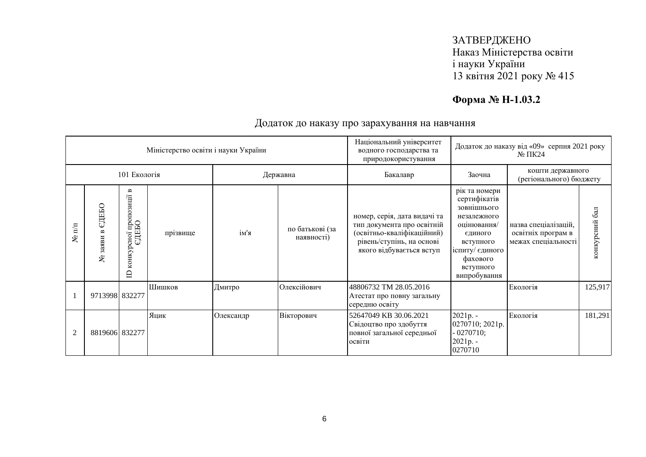# **Форма № Н-1.03.2**

|                      |                               |                                                                       | Міністерство освіти і науки України |           |                               | Національний університет<br>водного господарства та<br>природокористування                                                                        | Додаток до наказу від «09» серпня 2021 року<br>$N2 \Pi K24$                                                                                                    |                                                                   |                  |
|----------------------|-------------------------------|-----------------------------------------------------------------------|-------------------------------------|-----------|-------------------------------|---------------------------------------------------------------------------------------------------------------------------------------------------|----------------------------------------------------------------------------------------------------------------------------------------------------------------|-------------------------------------------------------------------|------------------|
|                      |                               | 101 Екологія                                                          |                                     |           | Державна                      | Бакалавр                                                                                                                                          | Заочна                                                                                                                                                         | кошти державного<br>(регіонального) бюджету                       |                  |
| $N$ <sup>o</sup> π/π | ЕДЕБО<br>$\sim$<br>заяви<br>٤ | $\mathbf{m}$<br>пропозиції<br>едньо<br>сної<br>конкур<br>$\mathbf{D}$ | прізвище                            | ім'я      | по батькові (за<br>наявності) | номер, серія, дата видачі та<br>тип документа про освітній<br>(освітньо-кваліфікаційний)<br>рівень/ступінь, на основі<br>якого відбувається вступ | рік та номери<br>сертифікатів<br>зовнішнього<br>незалежного<br>оцінювання/<br>єдиного<br>вступного<br>іспиту/ єдиного<br>фахового<br>вступного<br>випробування | назва спеціалізацій,<br>освітніх програм в<br>межах спеціальності | 6a<br>конкурсний |
|                      | 9713998 832277                |                                                                       | Шишков                              | Дмитро    | Олексійович                   | 48806732 TM 28.05.2016<br>Атестат про повну загальну<br>середню освіту                                                                            |                                                                                                                                                                | Екологія                                                          | 125,917          |
| $\overline{2}$       | 8819606 832277                |                                                                       | Яцик                                | Олександр | Вікторович                    | 52647049 KB 30.06.2021<br>Свідоцтво про здобуття<br>повної загальної середньої<br>освіти                                                          | 2021p. -<br>0270710; 2021p.<br>$-0270710;$<br>$2021p. -$<br>0270710                                                                                            | Екологія                                                          | 181,291          |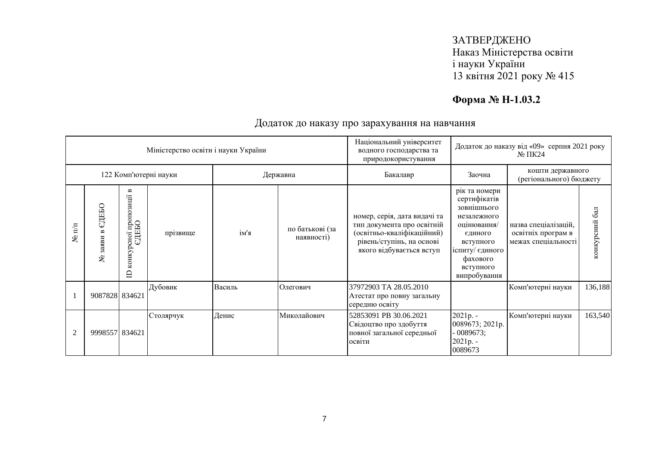# **Форма № Н-1.03.2**

|                      |                                     |                                                                                                 | Міністерство освіти і науки України |        |                               | Національний університет<br>Додаток до наказу від «09» серпня 2021 року<br>водного господарства та<br>$N0 \Pi K24$<br>природокористування         |                                                                                                                                                                |                                                                   |                  |
|----------------------|-------------------------------------|-------------------------------------------------------------------------------------------------|-------------------------------------|--------|-------------------------------|---------------------------------------------------------------------------------------------------------------------------------------------------|----------------------------------------------------------------------------------------------------------------------------------------------------------------|-------------------------------------------------------------------|------------------|
|                      |                                     |                                                                                                 | 122 Комп'ютерні науки               |        | Державна                      | Бакалавр                                                                                                                                          | кошти державного<br>Заочна<br>(регіонального) бюджету                                                                                                          |                                                                   |                  |
| $N$ <sup>o</sup> π/π | ЕДЕБО<br>$\mathbf{r}$<br>заяви<br>٤ | $\blacksquare$<br>пропозиції<br>ДЕБО<br>$\overline{\text{c}}$ ної<br>ω<br>конкур<br>$\triangle$ | прізвище                            | ім'я   | по батькові (за<br>наявності) | номер, серія, дата видачі та<br>тип документа про освітній<br>(освітньо-кваліфікаційний)<br>рівень/ступінь, на основі<br>якого відбувається вступ | рік та номери<br>сертифікатів<br>зовнішнього<br>незалежного<br>оцінювання/<br>єдиного<br>вступного<br>іспиту/ єдиного<br>фахового<br>вступного<br>випробування | назва спеціалізацій,<br>освітніх програм в<br>межах спеціальності | 6a<br>конкурсний |
|                      | 9087828 834621                      |                                                                                                 | Дубовик                             | Василь | Олегович                      | 37972903 TA 28.05.2010<br>Атестат про повну загальну<br>середню освіту                                                                            |                                                                                                                                                                | Комп'ютерні науки                                                 | 136,188          |
| $\overline{2}$       | 9998557 834621                      |                                                                                                 | Столярчук                           | Денис  | Миколайович                   | 52853091 PB 30.06.2021<br>Свідоцтво про здобуття<br>повної загальної середньої<br>освіти                                                          | 2021p. -<br>0089673; 2021p.<br>$-0089673;$<br>2021p. -<br>0089673                                                                                              | Комп'ютерні науки                                                 | 163,540          |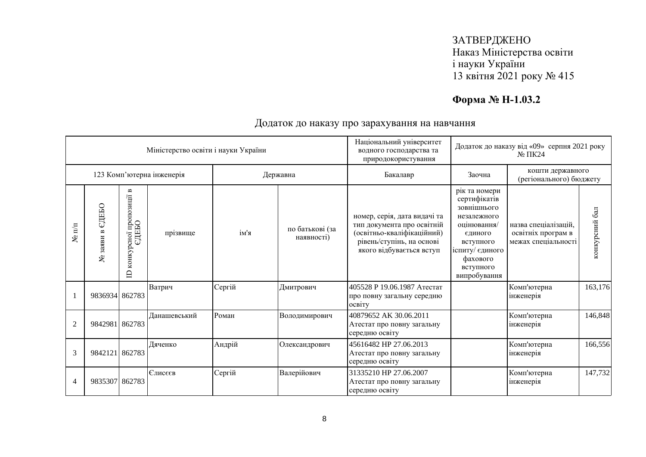# **Форма № Н-1.03.2**

|                      |                                  |                                                                       | Міністерство освіти і науки України |        |                               | Національний університет<br>водного господарства та<br>природокористування                                                                        | Додаток до наказу від «09» серпня 2021 року<br>$N0 \Pi K24$                                                                                                    |                                                                   |                |
|----------------------|----------------------------------|-----------------------------------------------------------------------|-------------------------------------|--------|-------------------------------|---------------------------------------------------------------------------------------------------------------------------------------------------|----------------------------------------------------------------------------------------------------------------------------------------------------------------|-------------------------------------------------------------------|----------------|
|                      |                                  |                                                                       | 123 Комп'ютерна інженерія           |        | Державна                      | Бакалавр                                                                                                                                          | Заочна                                                                                                                                                         | кошти державного<br>(регіонального) бюджету                       |                |
| $N$ <sup>o</sup> π/π | ЕДЕБО<br>$\mathbf{r}$<br>№ заяви | $\mathbf{m}$<br>пропозиції<br>едньо<br>сної<br>конкур<br>$\mathbf{D}$ | прізвище                            | ім'я   | по батькові (за<br>наявності) | номер, серія, дата видачі та<br>тип документа про освітній<br>(освітньо-кваліфікаційний)<br>рівень/ступінь, на основі<br>якого відбувається вступ | рік та номери<br>сертифікатів<br>зовнішнього<br>незалежного<br>оцінювання/<br>єдиного<br>вступного<br>іспиту/ єдиного<br>фахового<br>вступного<br>випробування | назва спеціалізацій.<br>освітніх програм в<br>межах спеціальності | конкурсний бал |
|                      | 9836934 862783                   |                                                                       | Ватрич                              | Сергій | Дмитрович                     | 405528 Р 19.06.1987 Атестат<br>про повну загальну середню<br>освіту                                                                               |                                                                                                                                                                | Комп'ютерна<br>інженерія                                          | 163,176        |
| $\overline{2}$       | 9842981 862783                   |                                                                       | Данашевський                        | Роман  | Володимирович                 | 40879652 AK 30.06.2011<br>Атестат про повну загальну<br>середню освіту                                                                            |                                                                                                                                                                | Комп'ютерна<br>інженерія                                          | 146,848        |
| 3                    | 9842121 862783                   |                                                                       | Дяченко                             | Андрій | Олександрович                 | 45616482 HP 27.06.2013<br>Атестат про повну загальну<br>середню освіту                                                                            |                                                                                                                                                                | Комп'ютерна<br>інженерія                                          | 166,556        |
| 4                    | 9835307 862783                   |                                                                       | Єлисєєв                             | Сергій | Валерійович                   | 31335210 HP 27.06.2007<br>Атестат про повну загальну<br>середню освіту                                                                            |                                                                                                                                                                | Комп'ютерна<br>інженерія                                          | 147,732        |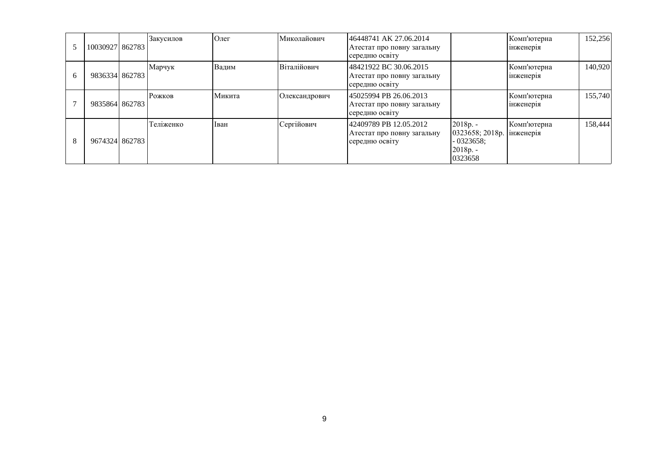|   | 10030927 862783 | Закусилов | Олег   | Миколайович   | 46448741 AK 27.06.2014<br>Атестат про повну загальну<br>середню освіту |                                                                                  | Комп'ютерна<br>1нженер1я | 152,256 |
|---|-----------------|-----------|--------|---------------|------------------------------------------------------------------------|----------------------------------------------------------------------------------|--------------------------|---------|
| 6 | 9836334 862783  | Марчук    | Вадим  | Віталійович   | 48421922 BC 30.06.2015<br>Атестат про повну загальну<br>середню освіту |                                                                                  | Комп'ютерна<br>1нженер1я | 140,920 |
|   | 9835864 862783  | Рожков    | Микита | Олександрович | 45025994 PB 26.06.2013<br>Атестат про повну загальну<br>середню освіту |                                                                                  | Комп'ютерна<br>1нженер1я | 155,740 |
| 8 | 9674324 862783  | Теліженко | Іван   | Сергійович    | 42409789 PB 12.05.2012<br>Атестат про повну загальну<br>середню освіту | 2018p. -<br>0323658; 2018р.   інженерія<br>$-0323658$ ;<br>$2018p. -$<br>0323658 | Комп'ютерна              | 158,444 |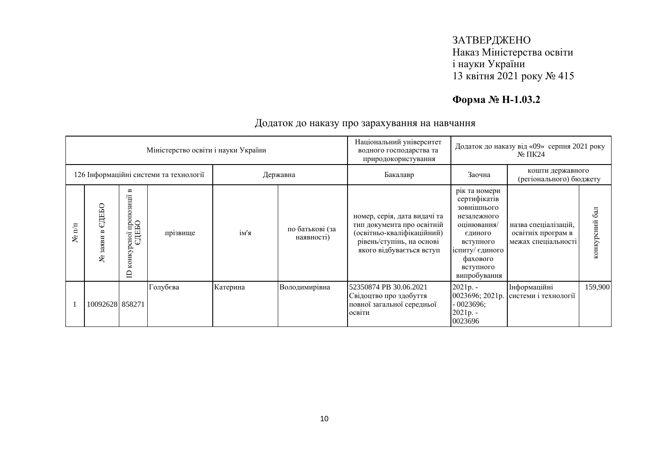# **Форма № Н-1.03.2**

|                            |                                  |                                                                           | Міністерство освіти і науки України    |          |                               | Національний університет<br>водного господарства та<br>природокористування                                                                        | Додаток до наказу від «09» серпня 2021 року<br>$\mathbb{N}^{\circ}$ TIK24                                                                                      |                                                                   |                  |
|----------------------------|----------------------------------|---------------------------------------------------------------------------|----------------------------------------|----------|-------------------------------|---------------------------------------------------------------------------------------------------------------------------------------------------|----------------------------------------------------------------------------------------------------------------------------------------------------------------|-------------------------------------------------------------------|------------------|
|                            |                                  |                                                                           | 126 Інформаційні системи та технології | Державна |                               | Бакалавр                                                                                                                                          | Заочна                                                                                                                                                         | кошти державного<br>(регіонального) бюджету                       |                  |
| $\mathbb{I}^{\prime}$<br>۶ | СДЕБО<br>$\approx$<br>заяви<br>ৼ | $\blacksquare$<br>зиції<br>осної пропоз<br>ЄДЕБО<br>конкур<br>$\triangle$ | прізвище                               | ім'я     | по батькові (за<br>наявності) | номер, серія, дата видачі та<br>тип документа про освітній<br>(освітньо-кваліфікаційний)<br>рівень/ступінь, на основі<br>якого відбувається вступ | рік та номери<br>сертифікатів<br>зовнішнього<br>незалежного<br>оцінювання/<br>єдиного<br>вступного<br>іспиту/ єдиного<br>фахового<br>вступного<br>випробування | назва спеціалізацій,<br>освітніх програм в<br>межах спеціальності | 6a<br>конкурсний |
|                            | 10092628 858271                  |                                                                           | Голубєва                               | Катерина | Володимирівна                 | 52350874 PB 30.06.2021<br>Свідоцтво про здобуття<br>повної загальної середньої<br>освіти                                                          | $2021p. -$<br>0023696; 2021p.<br>$-0023696;$<br>2021p. -<br>0023696                                                                                            | Інформаційні<br>системи і технології                              | 159,900          |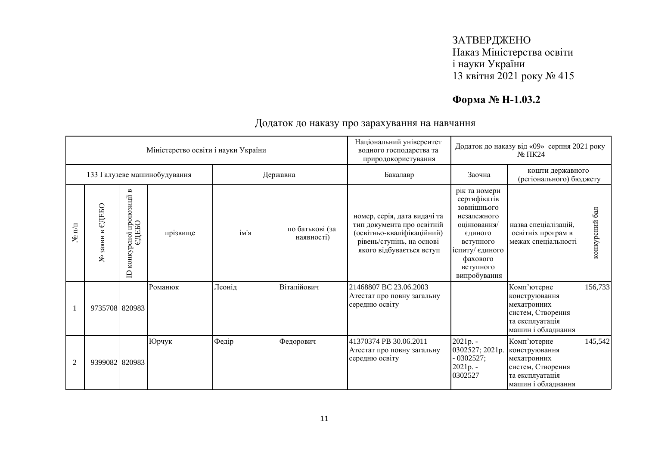# **Форма № Н-1.03.2**

|                  |                    |                                                     | Міністерство освіти і науки України |        |                               | Національний університет<br>Додаток до наказу від «09» серпня 2021 року<br>водного господарства та<br>$N2 \Pi K24$<br>природокористування         |                                                                                                                                                                |                                                                                                           |                |
|------------------|--------------------|-----------------------------------------------------|-------------------------------------|--------|-------------------------------|---------------------------------------------------------------------------------------------------------------------------------------------------|----------------------------------------------------------------------------------------------------------------------------------------------------------------|-----------------------------------------------------------------------------------------------------------|----------------|
|                  |                    |                                                     | 133 Галузеве машинобудування        |        | Державна                      | Бакалавр                                                                                                                                          | Заочна                                                                                                                                                         | кошти державного<br>(регіонального) бюджету                                                               |                |
| $\mathbf{N}$ π/π | едеью<br>№ заяви в | сної пропозиції в<br>ЄДЕБО<br>конкур<br>$\triangle$ | прізвище                            | ім'я   | по батькові (за<br>наявності) | номер, серія, дата видачі та<br>тип документа про освітній<br>(освітньо-кваліфікаційний)<br>рівень/ступінь, на основі<br>якого відбувається вступ | рік та номери<br>сертифікатів<br>зовнішнього<br>незалежного<br>оцінювання/<br>єдиного<br>вступного<br>іспиту/ єдиного<br>фахового<br>вступного<br>випробування | назва спеціалізацій,<br>освітніх програм в<br>межах спеціальності                                         | конкурсний бал |
|                  | 9735708 820983     |                                                     | Романюк                             | Леонід | Віталійович                   | 21468807 BC 23.06.2003<br>Атестат про повну загальну<br>середню освіту                                                                            |                                                                                                                                                                | Комп'ютерне<br>конструювання<br>мехатронних<br>систем, Створення<br>та експлуатація<br>машин і обладнання | 156,733        |
| $\overline{2}$   | 9399082 820983     |                                                     | Юрчук                               | Федір  | Федорович                     | 41370374 PB 30.06.2011<br>Атестат про повну загальну<br>середню освіту                                                                            | 2021p. -<br>0302527; 2021p.<br>$-0302527;$<br>$2021p. -$<br>0302527                                                                                            | Комп'ютерне<br>конструювання<br>мехатронних<br>систем, Створення<br>та експлуатація<br>машин і обладнання | 145,542        |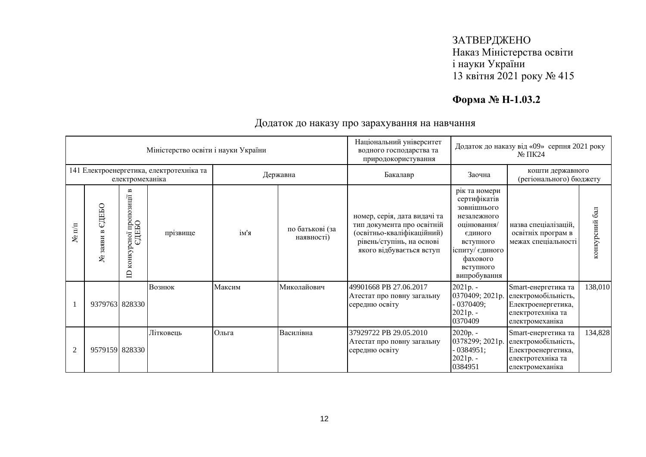# **Форма № Н-1.03.2**

|                  |                                     |                                                                        | Міністерство освіти і науки України      |        |                               | Національний університет<br>Додаток до наказу від «09» серпня 2021 року<br>водного господарства та<br>$N2 \Pi K24$<br>природокористування         |                                                                                                                                                                |                                                                                                          |                  |
|------------------|-------------------------------------|------------------------------------------------------------------------|------------------------------------------|--------|-------------------------------|---------------------------------------------------------------------------------------------------------------------------------------------------|----------------------------------------------------------------------------------------------------------------------------------------------------------------|----------------------------------------------------------------------------------------------------------|------------------|
|                  |                                     | електромеханіка                                                        | 141 Електроенергетика, електротехніка та |        | Державна                      | Бакалавр                                                                                                                                          | кошти державного<br>Заочна<br>(регіонального) бюджету                                                                                                          |                                                                                                          |                  |
| $\mathbf{N}$ π/π | ЕДЕБО<br>$\mathbf{a}$<br>заяви<br>٤ | $\blacksquare$<br>осної пропозиції н<br>ЄДЕБО<br>конкур<br>$\triangle$ | прізвище                                 | ім'я   | по батькові (за<br>наявності) | номер, серія, дата видачі та<br>тип документа про освітній<br>(освітньо-кваліфікаційний)<br>рівень/ступінь, на основі<br>якого відбувається вступ | рік та номери<br>сертифікатів<br>зовнішнього<br>незалежного<br>оцінювання/<br>єдиного<br>вступного<br>іспиту/ єдиного<br>фахового<br>вступного<br>випробування | назва спеціалізацій,<br>освітніх програм в<br>межах спеціальності                                        | 6a<br>конкурсний |
|                  | 9379763 828330                      |                                                                        | Вознюк                                   | Максим | Миколайович                   | 49901668 PB 27.06.2017<br>Атестат про повну загальну<br>середню освіту                                                                            | $2021p. -$<br>0370409; 2021p.<br>- 0370409;<br>$2021p. -$<br>0370409                                                                                           | Smart-енергетика та<br>електромобільність,<br>Електроенергетика,<br>електротехніка та<br>електромеханіка | 138,010          |
| $\overline{2}$   | 9579159 828330                      |                                                                        | Літковець                                | Ольга  | Василівна                     | 37929722 PB 29.05.2010<br>Атестат про повну загальну<br>середню освіту                                                                            | $2020p. -$<br>0378299; 2021p.<br>$-0384951;$<br>$2021p. -$<br>0384951                                                                                          | Smart-енергетика та<br>електромобільність,<br>Електроенергетика,<br>електротехніка та<br>електромеханіка | 134,828          |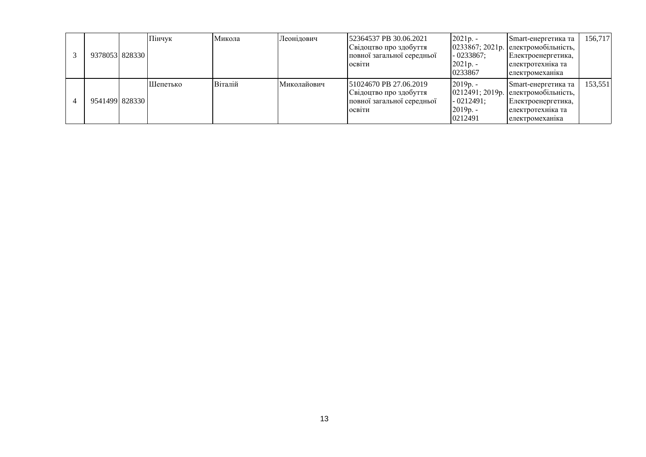|  | 9378053 828330 | Пінчук   | Микола  | Леонідович  | 152364537 PB 30.06.2021<br>Свідоцтво про здобуття<br>повної загальної середньої<br>ОСВІТИ | $2021p. -$<br>$-0233867$ ;<br>$2021p. -$<br>0233867 | Smart-енергетика та<br>$0233867; 2021p.$ електромобільність,<br>Електроенергетика,<br>електротехніка та<br>електромеханика    | 156,717 |
|--|----------------|----------|---------|-------------|-------------------------------------------------------------------------------------------|-----------------------------------------------------|-------------------------------------------------------------------------------------------------------------------------------|---------|
|  | 9541499 828330 | Шепетько | Віталій | Миколайович | 51024670 PB 27.06.2019<br>Свідоцтво про здобуття<br>повної загальної середньої<br>ОСВІТИ  | $2019p. -$<br>$-0212491;$<br>$2019p. -$<br>0212491  | Smart-енергетика та<br>$[0212491; 2019p. ]$ електромобільність,<br>Електроенергетика,<br>електротехника та<br>електромеханика | 153,551 |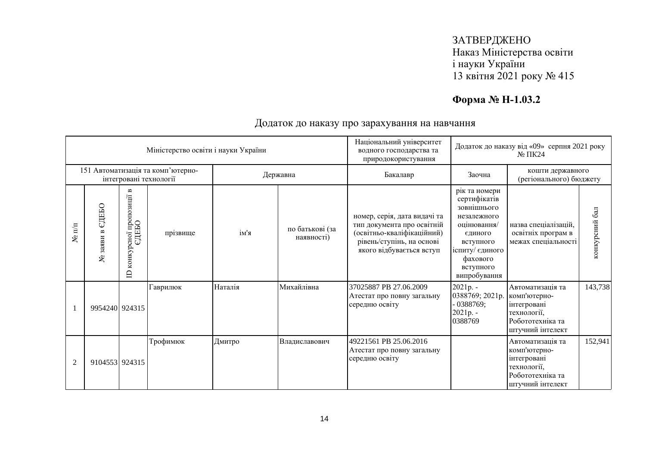# **Форма № Н-1.03.2**

|                      |                    |                                                                              | Міністерство освіти і науки України                         |         |                               | Національний університет<br>водного господарства та<br>природокористування                                                                        |                                                                                                                                                                | Додаток до наказу від «09» серпня 2021 року<br>$N2 \Pi K24$                                            |                |
|----------------------|--------------------|------------------------------------------------------------------------------|-------------------------------------------------------------|---------|-------------------------------|---------------------------------------------------------------------------------------------------------------------------------------------------|----------------------------------------------------------------------------------------------------------------------------------------------------------------|--------------------------------------------------------------------------------------------------------|----------------|
|                      |                    |                                                                              | 151 Автоматизація та комп'ютерно-<br>інтегровані технології |         | Державна                      | Бакалавр                                                                                                                                          | Заочна                                                                                                                                                         | кошти державного<br>(регіонального) бюджету                                                            |                |
| $N$ <sup>o</sup> π/π | едеьо<br>№ заяви в | $\blacksquare$<br>пропозиції<br>осної про<br>ЄДЕБО<br>конкур<br>$\mathbf{D}$ | прізвище                                                    | ім'я    | по батькові (за<br>наявності) | номер, серія, дата видачі та<br>тип документа про освітній<br>(освітньо-кваліфікаційний)<br>рівень/ступінь, на основі<br>якого відбувається вступ | рік та номери<br>сертифікатів<br>зовнішнього<br>незалежного<br>оцінювання/<br>єдиного<br>вступного<br>іспиту/ єдиного<br>фахового<br>вступного<br>випробування | назва спеціалізацій,<br>освітніх програм в<br>межах спеціальності                                      | конкурсний бал |
|                      | 9954240 924315     |                                                                              | Гаврилюк                                                    | Наталія | Михайлівна                    | 37025887 PB 27.06.2009<br>Атестат про повну загальну<br>середню освіту                                                                            | 2021p. -<br>0388769; 2021p.<br>$-0388769;$<br>$2021p. -$<br>0388769                                                                                            | Автоматизація та<br>комп'ютерно-<br>інтегровані<br>технології,<br>Робототехніка та<br>штучний інтелект | 143,738        |
| $\overline{2}$       | 9104553 924315     |                                                                              | Трофимюк                                                    | Дмитро  | Владиславович                 | 49221561 PB 25.06.2016<br>Атестат про повну загальну<br>середню освіту                                                                            |                                                                                                                                                                | Автоматизація та<br>комп'ютерно-<br>інтегровані<br>технології,<br>Робототехніка та<br>штучний інтелект | 152,941        |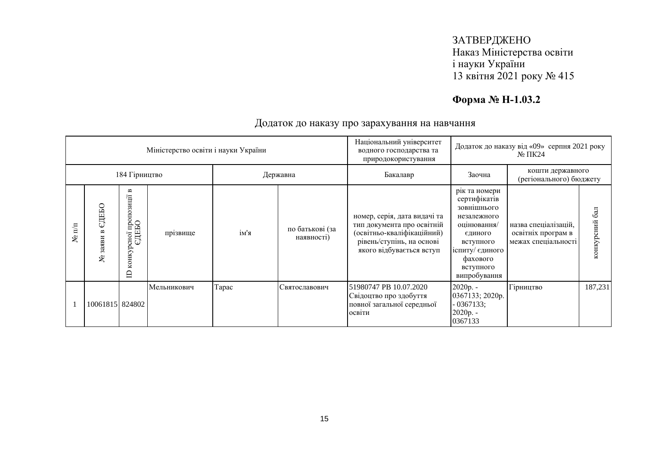# **Форма № Н-1.03.2**

|                   |                                  |                                                                                       | Міністерство освіти і науки України |       |                               | Національний університет<br>водного господарства та<br>природокористування                                                                        | Додаток до наказу від «09» серпня 2021 року<br>$\mathbb{N}^{\circ}$ TIK24                                                                                      |                                                                   |                               |
|-------------------|----------------------------------|---------------------------------------------------------------------------------------|-------------------------------------|-------|-------------------------------|---------------------------------------------------------------------------------------------------------------------------------------------------|----------------------------------------------------------------------------------------------------------------------------------------------------------------|-------------------------------------------------------------------|-------------------------------|
|                   |                                  | 184 Гірництво                                                                         |                                     |       | Державна                      | Бакалавр                                                                                                                                          | Заочна                                                                                                                                                         | кошти державного<br>(регіонального) бюджету                       |                               |
| $\mathbb{H}$<br>٤ | ЕДЕБО<br>$\approx$<br>заяви<br>ع | $\blacksquare$<br>зиції<br>$_{\rm OHO}$<br>оної про<br>СДЕБО<br>конкур<br>$\triangle$ | прізвище                            | ім'я  | по батькові (за<br>наявності) | номер, серія, дата видачі та<br>тип документа про освітній<br>(освітньо-кваліфікаційний)<br>рівень/ступінь, на основі<br>якого відбувається вступ | рік та номери<br>сертифікатів<br>зовнішнього<br>незалежного<br>оцінювання/<br>єдиного<br>вступного<br>іспиту/ єдиного<br>фахового<br>вступного<br>випробування | назва спеціалізацій,<br>освітніх програм в<br>межах спеціальності | $\overline{6a}$<br>конкурсний |
|                   | 10061815 824802                  |                                                                                       | Мельникович                         | Tapac | Святославович                 | 51980747 PB 10.07.2020<br>Свідоцтво про здобуття<br>повної загальної середньої<br>освіти                                                          | 2020p. -<br>0367133; 2020p.<br>$-0367133;$<br>2020p. -<br>0367133                                                                                              | Гірництво                                                         | 187,231                       |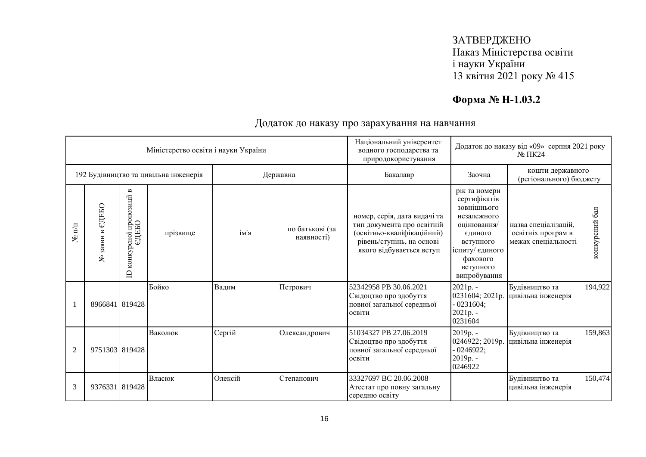# **Форма № Н-1.03.2**

|                  |                       |                                                                         | Міністерство освіти і науки України   |         |                               | Національний університет<br>водного господарства та<br>природокористування                                                                        |                                                                                                                                                                | Додаток до наказу від «09» серпня 2021 року<br>$N2 \Pi K24$       |                      |  |
|------------------|-----------------------|-------------------------------------------------------------------------|---------------------------------------|---------|-------------------------------|---------------------------------------------------------------------------------------------------------------------------------------------------|----------------------------------------------------------------------------------------------------------------------------------------------------------------|-------------------------------------------------------------------|----------------------|--|
|                  |                       |                                                                         | 192 Будівництво та цивільна інженерія |         | Державна                      | Бакалавр                                                                                                                                          | Заочна                                                                                                                                                         | кошти державного<br>(регіонального) бюджету                       |                      |  |
| $\mathbf{N}$ π/π | СДЕБО<br>заяви в<br>ع | $\mathbf{a}$<br>пропозиції<br>едньо<br>$c$ ної<br>конкур<br>$\triangle$ | прізвище                              | ім'я    | по батькові (за<br>наявності) | номер, серія, дата видачі та<br>тип документа про освітній<br>(освітньо-кваліфікаційний)<br>рівень/ступінь, на основі<br>якого відбувається вступ | рік та номери<br>сертифікатів<br>зовнішнього<br>незалежного<br>оцінювання/<br>єдиного<br>вступного<br>іспиту/ єдиного<br>фахового<br>вступного<br>випробування | назва спеціалізацій.<br>освітніх програм в<br>межах спеціальності | $6a$ л<br>конкурсний |  |
|                  | 8966841 819428        |                                                                         | Бойко                                 | Вадим   | Петрович                      | 52342958 PB 30.06.2021<br>Свідоцтво про здобуття<br>повної загальної середньої<br>освіти                                                          | 2021p. -<br>0231604; 2021p.<br>$-0231604;$<br>$2021p. -$<br>0231604                                                                                            | Будівництво та<br>цивільна інженерія                              | 194,922              |  |
| $\overline{2}$   | 9751303 819428        |                                                                         | Ваколюк                               | Сергій  | Олександрович                 | 51034327 PB 27.06.2019<br>Свідоцтво про здобуття<br>повної загальної середньої<br>освіти                                                          | 2019p. -<br>0246922; 2019p.<br>$-0246922;$<br>2019p. -<br>0246922                                                                                              | Будівництво та<br>цивільна інженерія                              | 159,863              |  |
| $\mathfrak{Z}$   | 9376331 819428        |                                                                         | Власюк                                | Олексій | Степанович                    | 33327697 BC 20.06.2008<br>Атестат про повну загальну<br>середню освіту                                                                            |                                                                                                                                                                | Будівництво та<br>цивільна інженерія                              | 150,474              |  |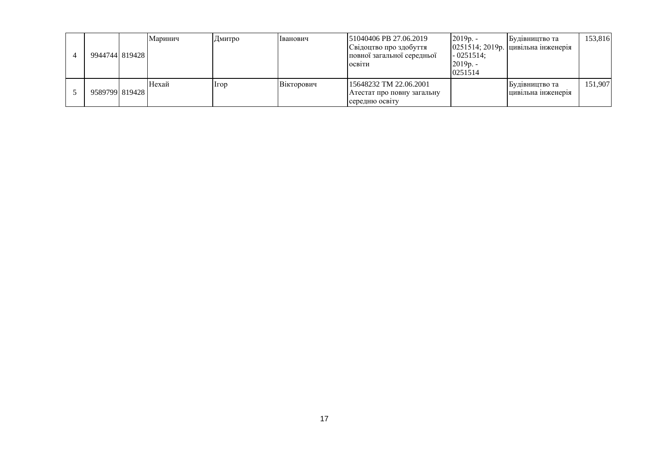| 994474418194281 | Маринич | Дмитро | Іванович          | 51040406 PB 27.06.2019<br>Свідоцтво про здобуття<br>повної загальної середньої<br>ОСВІТИ | $2019p. -$<br>$-0251514;$<br>$2019p. -$<br>0251514 | Будівництво та<br>0251514; 2019р. цивільна інженерія | 153,816 |
|-----------------|---------|--------|-------------------|------------------------------------------------------------------------------------------|----------------------------------------------------|------------------------------------------------------|---------|
| 958979918194281 | Hexaй   | Irop   | <b>Вікторович</b> | 15648232 TM 22.06.2001<br>Атестат про повну загальну<br>середню освіту                   |                                                    | Будівництво та<br>цивільна інженерія                 | 151,907 |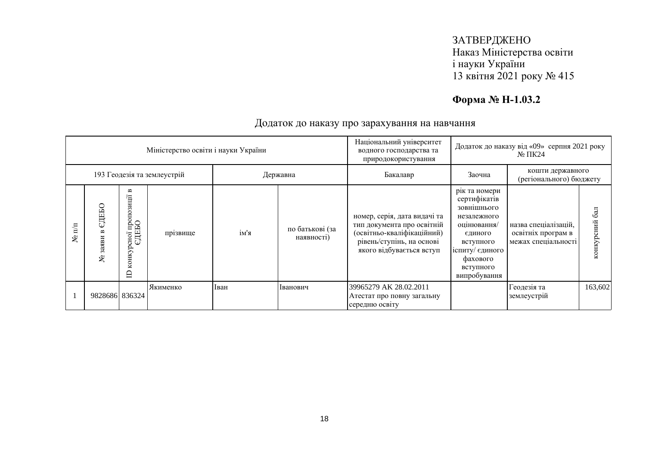# **Форма № Н-1.03.2**

|                              |                   |                                                 | Міністерство освіти і науки України |      |                               | Національний університет<br>Додаток до наказу від «09» серпня 2021 року<br>водного господарства та<br>$N2 \Pi K24$<br>природокористування         |                                                                                                                                                                |                                                                   |                  |
|------------------------------|-------------------|-------------------------------------------------|-------------------------------------|------|-------------------------------|---------------------------------------------------------------------------------------------------------------------------------------------------|----------------------------------------------------------------------------------------------------------------------------------------------------------------|-------------------------------------------------------------------|------------------|
|                              |                   |                                                 | 193 Геодезія та землеустрій         |      | Державна                      | Бакалавр                                                                                                                                          | Заочна                                                                                                                                                         | кошти державного<br>(регіонального) бюджету                       |                  |
| $\overline{\mathbb{H}}$<br>ৼ | СДЕБО<br>335<br>ৼ | B<br>осної пропозиції і<br>ЄДЕБО<br>конкур<br>≘ | прізвище                            | ім'я | по батькові (за<br>наявності) | номер, серія, дата видачі та<br>тип документа про освітній<br>(освітньо-кваліфікаційний)<br>рівень/ступінь, на основі<br>якого відбувається вступ | рік та номери<br>сертифікатів<br>зовнішнього<br>незалежного<br>оцінювання/<br>єдиного<br>вступного<br>іспиту/ єдиного<br>фахового<br>вступного<br>випробування | назва спеціалізацій,<br>освітніх програм в<br>межах спеціальності | 6a<br>конкурсний |
|                              | 9828686 836324    |                                                 | Якименко                            | Іван | Іванович                      | 39965279 AK 28.02.2011<br>Атестат про повну загальну<br>середню освіту                                                                            |                                                                                                                                                                | Геодезія та<br>землеустрій                                        | 163,602          |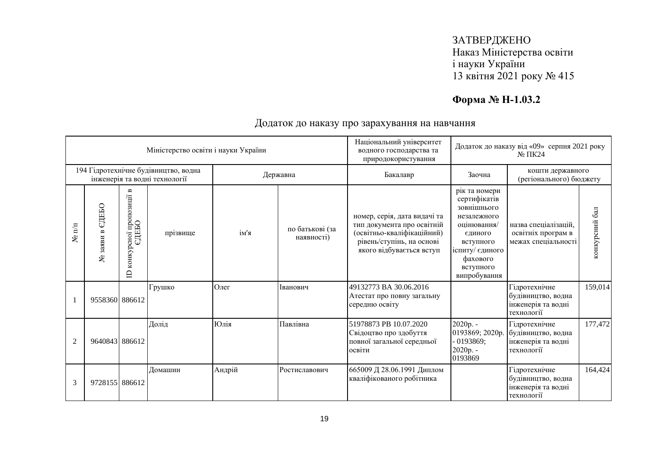# **Форма № Н-1.03.2**

|                      |                       |                                                                | Міністерство освіти і науки України                                   |        |                               | Національний університет<br>водного господарства та<br>природокористування                                                                        | Додаток до наказу від «09» серпня 2021 року<br>$N0 \Pi K24$                                                                                                    |                                                                         |                |
|----------------------|-----------------------|----------------------------------------------------------------|-----------------------------------------------------------------------|--------|-------------------------------|---------------------------------------------------------------------------------------------------------------------------------------------------|----------------------------------------------------------------------------------------------------------------------------------------------------------------|-------------------------------------------------------------------------|----------------|
|                      |                       |                                                                | 194 Гідротехнічне будівництво, водна<br>інженерія та водні технології |        | Державна                      | Бакалавр                                                                                                                                          | Заочна                                                                                                                                                         | кошти державного<br>(регіонального) бюджету                             |                |
| $N$ <sup>2</sup> π/π | ЄДЕБО<br>заяви в<br>٤ | $\mathbf{m}$<br>конкурсної пропозиції<br>ЄДЕБО<br>$\mathbf{D}$ | прізвище                                                              | ім'я   | по батькові (за<br>наявності) | номер, серія, дата видачі та<br>тип документа про освітній<br>(освітньо-кваліфікаційний)<br>рівень/ступінь, на основі<br>якого відбувається вступ | рік та номери<br>сертифікатів<br>зовнішнього<br>незалежного<br>оцінювання/<br>єдиного<br>вступного<br>іспиту/ єдиного<br>фахового<br>вступного<br>випробування | назва спеціалізацій,<br>освітніх програм в<br>межах спеціальності       | конкурсний бал |
|                      | 9558360 886612        |                                                                | Грушко                                                                | Олег   | Іванович                      | 49132773 BA 30.06.2016<br>Атестат про повну загальну<br>середню освіту                                                                            |                                                                                                                                                                | Гідротехнічне<br>будівництво, водна<br>інженерія та водні<br>технології | 159,014        |
| 2                    | 9640843 886612        |                                                                | Долід                                                                 | Юлія   | Павлівна                      | 51978873 PB 10.07.2020<br>Свідоцтво про здобуття<br>повної загальної середньої<br>освіти                                                          | 2020p. -<br>0193869; 2020p.<br>$-0193869;$<br>2020p. -<br>0193869                                                                                              | Гідротехнічне<br>будівництво, водна<br>інженерія та водні<br>технології | 177,472        |
| 3                    | 9728155 886612        |                                                                | Домашин                                                               | Андрій | Ростиславович                 | 665009 Д 28.06.1991 Диплом<br>кваліфікованого робітника                                                                                           |                                                                                                                                                                | Гідротехнічне<br>будівництво, водна<br>інженерія та водні<br>технології | 164,424        |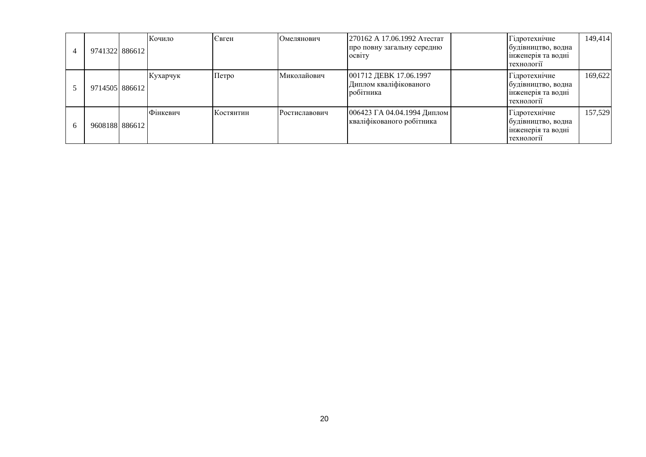| $\overline{4}$ | 9741322 886612 | Кочило   | Євген     | Омелянович    | 270162 А 17.06.1992 Атестат<br>про повну загальну середню<br><b>OCBITY</b> | Гідротехнічне<br>будівництво, водна<br>інженерія та водні<br>технології | 149,414 |
|----------------|----------------|----------|-----------|---------------|----------------------------------------------------------------------------|-------------------------------------------------------------------------|---------|
|                | 9714505 886612 | Кухарчук | Петро     | Миколайович   | 001712 ДЕВК 17.06.1997<br>Диплом кваліфікованого<br>робітника              | Гідротехнічне<br>будівництво, водна<br>інженерія та водні<br>технології | 169.622 |
| 6              | 9608188 886612 | Фінкевич | Костянтин | Ростиславович | 006423 ГА 04.04.1994 Диплом<br>кваліфікованого робітника                   | Гідротехнічне<br>будівництво, водна<br>інженерія та водні<br>технології | 157,529 |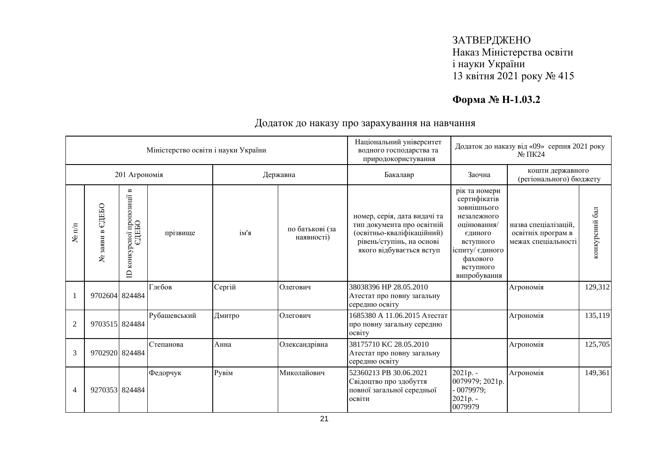# **Форма № Н-1.03.2**

|                               |                    |                                                                       | Міністерство освіти і науки України |        |                               | Національний університет<br>водного господарства та<br>природокористування                                                                        |                                                                                                                                                                | Додаток до наказу від «09» серпня 2021 року<br>$N2 \Pi K24$       |                |
|-------------------------------|--------------------|-----------------------------------------------------------------------|-------------------------------------|--------|-------------------------------|---------------------------------------------------------------------------------------------------------------------------------------------------|----------------------------------------------------------------------------------------------------------------------------------------------------------------|-------------------------------------------------------------------|----------------|
|                               |                    | 201 Агрономія                                                         |                                     |        | Державна                      | Бакалавр                                                                                                                                          | Заочна                                                                                                                                                         | кошти державного<br>(регіонального) бюджету                       |                |
| $\mathbf{N}$ υ $\mathbf{n}/n$ | СДЕБО<br>№ заяви в | $\blacksquare$<br>рсної пропозиції в<br>ЄДЕБО<br>конкурсної<br>$\Box$ | прізвище                            | ім'я   | по батькові (за<br>наявності) | номер, серія, дата видачі та<br>тип документа про освітній<br>(освітньо-кваліфікаційний)<br>рівень/ступінь, на основі<br>якого відбувається вступ | рік та номери<br>сертифікатів<br>зовнішнього<br>незалежного<br>оцінювання/<br>єдиного<br>вступного<br>іспиту/ єдиного<br>фахового<br>вступного<br>випробування | назва спеціалізацій,<br>освітніх програм в<br>межах спеціальності | конкурсний бал |
| 1                             | 9702604 824484     |                                                                       | Глєбов                              | Сергій | Олегович                      | 38038396 HP 28.05.2010<br>Атестат про повну загальну<br>середню освіту                                                                            |                                                                                                                                                                | Агрономія                                                         | 129,312        |
| $\overline{2}$                | 9703515 824484     |                                                                       | Рубашевський                        | Дмитро | Олегович                      | 1685380 А 11.06.2015 Атестат<br>про повну загальну середню<br>освіту                                                                              |                                                                                                                                                                | Агрономія                                                         | 135,119        |
| 3                             | 9702920 824484     |                                                                       | Степанова                           | Анна   | Олександрівна                 | 38175710 KC 28.05.2010<br>Атестат про повну загальну<br>середню освіту                                                                            |                                                                                                                                                                | Агрономія                                                         | 125,705        |
| $\overline{4}$                | 9270353 824484     |                                                                       | Федорчук                            | Рувім  | Миколайович                   | 52360213 PB 30.06.2021<br>Свідоцтво про здобуття<br>повної загальної середньої<br>освіти                                                          | 2021p. -<br>0079979; 2021p.<br>$-0079979;$<br>2021p. -<br>0079979                                                                                              | Агрономія                                                         | 149,361        |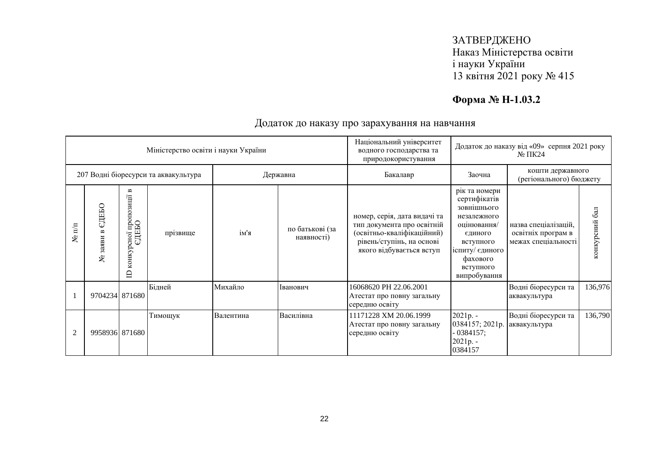# **Форма № Н-1.03.2**

|                      |                                     |                                                                                      | Міністерство освіти і науки України  |           | Національний університет<br>водного господарства та<br>природокористування |                                                                                                                                                   |                                                                                                                                                                | Додаток до наказу від «09» серпня 2021 року<br>$N2 \Pi K24$       |                  |  |
|----------------------|-------------------------------------|--------------------------------------------------------------------------------------|--------------------------------------|-----------|----------------------------------------------------------------------------|---------------------------------------------------------------------------------------------------------------------------------------------------|----------------------------------------------------------------------------------------------------------------------------------------------------------------|-------------------------------------------------------------------|------------------|--|
|                      |                                     |                                                                                      | 207 Водні біоресурси та аквакультура |           | Державна                                                                   | Бакалавр                                                                                                                                          | Заочна                                                                                                                                                         | кошти державного<br>(регіонального) бюджету                       |                  |  |
| $N$ <sup>o</sup> π/π | ЕДЕБО<br>$\mathbf{r}$<br>заяви<br>٤ | $\mathbf{m}$<br>ноі пропозиції в<br>∂ДЕБО<br>сної<br>$\cup$<br>конкур<br>$\triangle$ | прізвище                             | ім'я      | по батькові (за<br>наявності)                                              | номер, серія, дата видачі та<br>тип документа про освітній<br>(освітньо-кваліфікаційний)<br>рівень/ступінь, на основі<br>якого відбувається вступ | рік та номери<br>сертифікатів<br>зовнішнього<br>незалежного<br>оцінювання/<br>єдиного<br>вступного<br>іспиту/ єдиного<br>фахового<br>вступного<br>випробування | назва спеціалізацій,<br>освітніх програм в<br>межах спеціальності | 6a<br>конкурсний |  |
|                      | 9704234 871680                      |                                                                                      | Бідней                               | Михайло   | Іванович                                                                   | 16068620 PH 22.06.2001<br>Атестат про повну загальну<br>середню освіту                                                                            |                                                                                                                                                                | Водні біоресурси та<br>аквакультура                               | 136,976          |  |
| $\overline{2}$       | 9958936 871680                      |                                                                                      | Тимощук                              | Валентина | Василівна                                                                  | 11171228 XM 20.06.1999<br>Атестат про повну загальну<br>середню освіту                                                                            | $2021p. -$<br>0384157; 2021p.<br>$-0384157;$<br>$2021p. -$<br>0384157                                                                                          | Водні біоресурси та<br>аквакультура                               | 136,790          |  |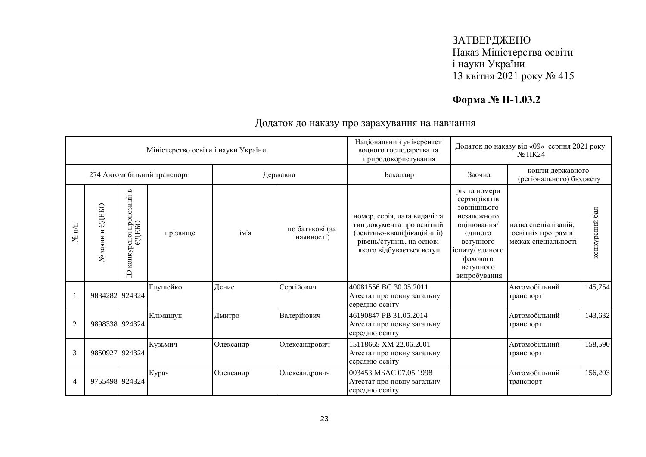# **Форма № Н-1.03.2**

|                  |                                  |                                                                  | Міністерство освіти і науки України |           |                               | Національний університет<br>водного господарства та                                                                                               |                                                                                                                                                                | Додаток до наказу від «09» серпня 2021 року<br>$N2 \Pi K24$       |                |
|------------------|----------------------------------|------------------------------------------------------------------|-------------------------------------|-----------|-------------------------------|---------------------------------------------------------------------------------------------------------------------------------------------------|----------------------------------------------------------------------------------------------------------------------------------------------------------------|-------------------------------------------------------------------|----------------|
|                  |                                  |                                                                  |                                     |           |                               | природокористування                                                                                                                               |                                                                                                                                                                |                                                                   |                |
|                  |                                  |                                                                  | 274 Автомобільний транспорт         |           | Державна                      | Бакалавр                                                                                                                                          | кошти державного<br>Заочна<br>(регіонального) бюджету                                                                                                          |                                                                   |                |
| $\mathbf{N}$ π/π | ЄДЕБО<br>$\mathbf{B}$<br>№ заяви | $\mathbf{m}$<br>пропозиції<br>едеьо<br>конкурсної<br>$\triangle$ | прізвище                            | ім'я      | по батькові (за<br>наявності) | номер, серія, дата видачі та<br>тип документа про освітній<br>(освітньо-кваліфікаційний)<br>рівень/ступінь, на основі<br>якого відбувається вступ | рік та номери<br>сертифікатів<br>зовнішнього<br>незалежного<br>оцінювання/<br>єдиного<br>вступного<br>іспиту/ єдиного<br>фахового<br>вступного<br>випробування | назва спеціалізацій,<br>освітніх програм в<br>межах спеціальності | конкурсний бал |
|                  | 9834282 924324                   |                                                                  | Глушейко                            | Денис     | Сергійович                    | 40081556 BC 30.05.2011<br>Атестат про повну загальну<br>середню освіту                                                                            |                                                                                                                                                                | Автомобільний<br>транспорт                                        | 145,754        |
| $\overline{2}$   | 9898338 924324                   |                                                                  | Клімащук                            | Дмитро    | Валерійович                   | 46190847 PB 31.05.2014<br>Атестат про повну загальну<br>середню освіту                                                                            |                                                                                                                                                                | Автомобільний<br>транспорт                                        | 143,632        |
| 3                | 9850927 924324                   |                                                                  | Кузьмич                             | Олександр | Олександрович                 | 15118665 XM 22.06.2001<br>Атестат про повну загальну<br>середню освіту                                                                            |                                                                                                                                                                | Автомобільний<br>транспорт                                        | 158,590        |
| $\overline{4}$   | 9755498 924324                   |                                                                  | Курач                               | Олександр | Олександрович                 | 003453 MBAC 07.05.1998<br>Атестат про повну загальну<br>середню освіту                                                                            |                                                                                                                                                                | Автомобільний<br>транспорт                                        | 156,203        |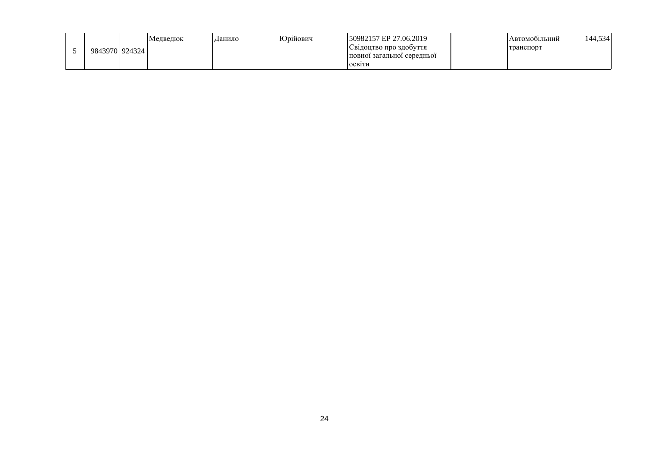|                 | Медведюк | Данило | Юрійович | 50982157 EP 27.06.2019     | <b>Автомоопльний</b> | 144,534 |
|-----------------|----------|--------|----------|----------------------------|----------------------|---------|
| 984397019243241 |          |        |          | Свідоцтво про здобуття     | транспорт            |         |
|                 |          |        |          | повної загальної середньої |                      |         |
|                 |          |        |          | ОСВ1ТИ                     |                      |         |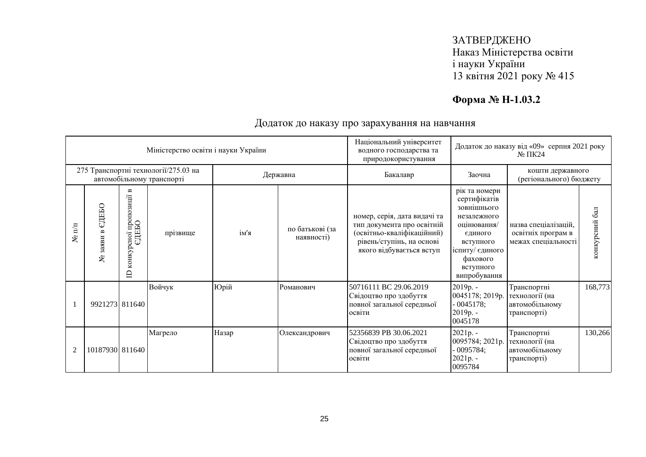# **Форма № Н-1.03.2**

| Міністерство освіти і науки України                               |                                 |                                                                       |          |          | Національний університет<br>водного господарства та<br>природокористування | Додаток до наказу від «09» серпня 2021 року<br>$N2 \Pi K24$                                                                                       |                                                                                                                                                                |                                                                   |                |
|-------------------------------------------------------------------|---------------------------------|-----------------------------------------------------------------------|----------|----------|----------------------------------------------------------------------------|---------------------------------------------------------------------------------------------------------------------------------------------------|----------------------------------------------------------------------------------------------------------------------------------------------------------------|-------------------------------------------------------------------|----------------|
| 275 Транспортні технології/275.03 на<br>автомобільному транспорті |                                 |                                                                       |          | Державна |                                                                            | Бакалавр                                                                                                                                          | кошти державного<br>Заочна<br>(регіонального) бюджету                                                                                                          |                                                                   |                |
| $\mathbf{N}$ π/π                                                  | СДЕБО<br>$\infty$<br>заяви<br>٤ | $\mathbf{m}$<br>осної пропозиції і<br>ЄДЕБО<br>конкур<br>$\mathbf{D}$ | прізвище | ім'я     | по батькові (за<br>наявності)                                              | номер, серія, дата видачі та<br>тип документа про освітній<br>(освітньо-кваліфікаційний)<br>рівень/ступінь, на основі<br>якого відбувається вступ | рік та номери<br>сертифікатів<br>зовнішнього<br>незалежного<br>оцінювання/<br>єдиного<br>вступного<br>іспиту/ єдиного<br>фахового<br>вступного<br>випробування | назва спеціалізацій,<br>освітніх програм в<br>межах спеціальності | конкурсний бал |
|                                                                   | 9921273 811640                  |                                                                       | Войчук   | Юрій     | Романович                                                                  | 50716111 BC 29.06.2019<br>Свідоцтво про здобуття<br>повної загальної середньої<br>освіти                                                          | $2019p. -$<br>0045178; 2019p.<br>$-0045178;$<br>2019p. -<br>0045178                                                                                            | Транспортні<br>технології (на<br>автомобільному<br>транспорті)    | 168,773        |
| $\overline{2}$                                                    | 10187930 811640                 |                                                                       | Магрело  | Назар    | Олександрович                                                              | 52356839 PB 30.06.2021<br>Свідоцтво про здобуття<br>повної загальної середньої<br>освіти                                                          | 2021p. -<br>0095784; 2021p.<br>$-0095784;$<br>$2021p. -$<br>0095784                                                                                            | Транспортні<br>технології (на<br>автомобільному<br>транспорті)    | 130,266        |